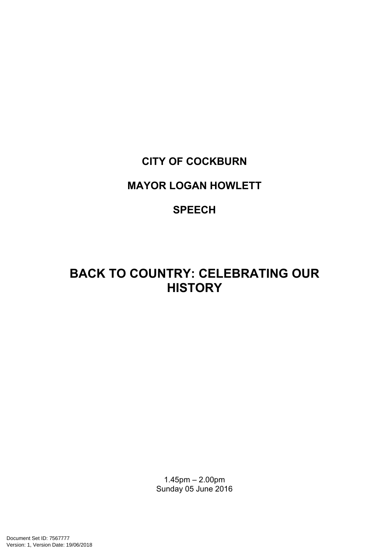# **CITY OF COCKBURN**

# **MAYOR LOGAN HOWLETT**

# **SPEECH**

# **BACK TO COUNTRY: CELEBRATING OUR HISTORY**

1.45pm – 2.00pm Sunday 05 June 2016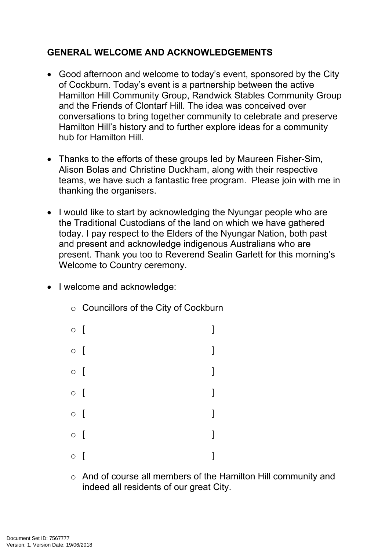## **GENERAL WELCOME AND ACKNOWLEDGEMENTS**

- Good afternoon and welcome to today's event, sponsored by the City of Cockburn. Today's event is a partnership between the active Hamilton Hill Community Group, Randwick Stables Community Group and the Friends of Clontarf Hill. The idea was conceived over conversations to bring together community to celebrate and preserve Hamilton Hill's history and to further explore ideas for a community hub for Hamilton Hill.
- Thanks to the efforts of these groups led by Maureen Fisher-Sim, Alison Bolas and Christine Duckham, along with their respective teams, we have such a fantastic free program. Please join with me in thanking the organisers.
- I would like to start by acknowledging the Nyungar people who are the Traditional Custodians of the land on which we have gathered today. I pay respect to the Elders of the Nyungar Nation, both past and present and acknowledge indigenous Australians who are present. Thank you too to Reverend Sealin Garlett for this morning's Welcome to Country ceremony.
- I welcome and acknowledge:
	- $\circ$  [  $\qquad \qquad$  ]  $\circ$  [  $\qquad \qquad$  ]  $\circ$  [  $\qquad \qquad$  ]  $\circ$  [  $\qquad \qquad$  ]  $\circ$  [  $\qquad \qquad$  ]  $\circ$  [  $\qquad \qquad$  ]  $\circ$  [  $\qquad \qquad$  ]

o Councillors of the City of Cockburn

o And of course all members of the Hamilton Hill community and indeed all residents of our great City.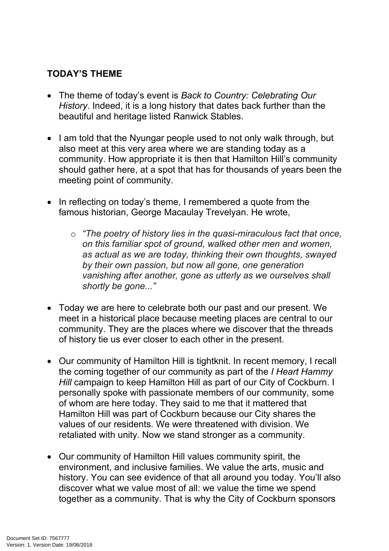## **TODAY'S THEME**

- The theme of today's event is *Back to Country: Celebrating Our History*. Indeed, it is a long history that dates back further than the beautiful and heritage listed Ranwick Stables.
- I am told that the Nyungar people used to not only walk through, but also meet at this very area where we are standing today as a community. How appropriate it is then that Hamilton Hill's community should gather here, at a spot that has for thousands of years been the meeting point of community.
- In reflecting on today's theme, I remembered a quote from the famous historian, George Macaulay Trevelyan. He wrote,
	- o *"The poetry of history lies in the quasi-miraculous fact that once, on this familiar spot of ground, walked other men and women, as actual as we are today, thinking their own thoughts, swayed by their own passion, but now all gone, one generation vanishing after another, gone as utterly as we ourselves shall shortly be gone..."*
- Today we are here to celebrate both our past and our present. We meet in a historical place because meeting places are central to our community. They are the places where we discover that the threads of history tie us ever closer to each other in the present.
- Our community of Hamilton Hill is tightknit. In recent memory, I recall the coming together of our community as part of the *I Heart Hammy Hill* campaign to keep Hamilton Hill as part of our City of Cockburn. I personally spoke with passionate members of our community, some of whom are here today. They said to me that it mattered that Hamilton Hill was part of Cockburn because our City shares the values of our residents. We were threatened with division. We retaliated with unity. Now we stand stronger as a community.
- Our community of Hamilton Hill values community spirit, the environment, and inclusive families. We value the arts, music and history. You can see evidence of that all around you today. You'll also discover what we value most of all: we value the time we spend together as a community. That is why the City of Cockburn sponsors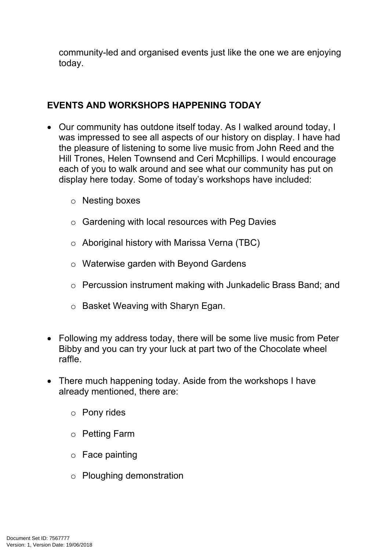community-led and organised events just like the one we are enjoying today.

#### **EVENTS AND WORKSHOPS HAPPENING TODAY**

- Our community has outdone itself today. As I walked around today, I was impressed to see all aspects of our history on display. I have had the pleasure of listening to some live music from John Reed and the Hill Trones, Helen Townsend and Ceri Mcphillips. I would encourage each of you to walk around and see what our community has put on display here today. Some of today's workshops have included:
	- o Nesting boxes
	- o Gardening with local resources with Peg Davies
	- o Aboriginal history with Marissa Verna (TBC)
	- o Waterwise garden with Beyond Gardens
	- o Percussion instrument making with Junkadelic Brass Band; and
	- o Basket Weaving with Sharyn Egan.
- Following my address today, there will be some live music from Peter Bibby and you can try your luck at part two of the Chocolate wheel raffle.
- There much happening today. Aside from the workshops I have already mentioned, there are:
	- o Pony rides
	- o Petting Farm
	- o Face painting
	- o Ploughing demonstration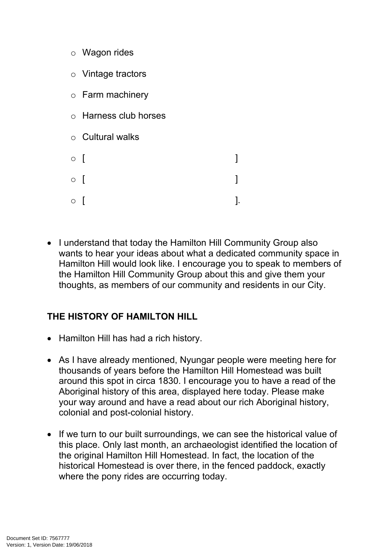- o Wagon rides
- o Vintage tractors
- o Farm machinery
- o Harness club horses
- o Cultural walks
- $\circ$  [  $\qquad \qquad$  ]  $\circ$  [  $\qquad \qquad$  ]  $\circ$  [ ].
- I understand that today the Hamilton Hill Community Group also wants to hear your ideas about what a dedicated community space in Hamilton Hill would look like. I encourage you to speak to members of the Hamilton Hill Community Group about this and give them your thoughts, as members of our community and residents in our City.

## **THE HISTORY OF HAMILTON HILL**

- Hamilton Hill has had a rich history.
- As I have already mentioned, Nyungar people were meeting here for thousands of years before the Hamilton Hill Homestead was built around this spot in circa 1830. I encourage you to have a read of the Aboriginal history of this area, displayed here today. Please make your way around and have a read about our rich Aboriginal history, colonial and post-colonial history.
- If we turn to our built surroundings, we can see the historical value of this place. Only last month, an archaeologist identified the location of the original Hamilton Hill Homestead. In fact, the location of the historical Homestead is over there, in the fenced paddock, exactly where the pony rides are occurring today.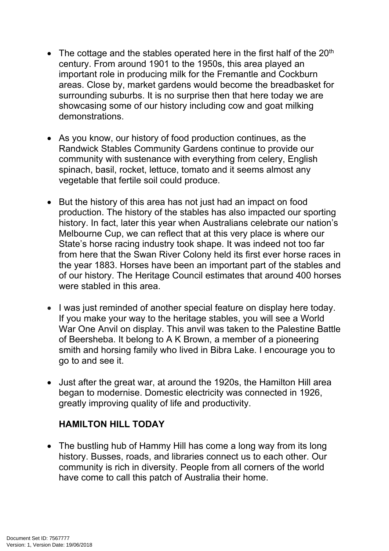- The cottage and the stables operated here in the first half of the  $20<sup>th</sup>$ century. From around 1901 to the 1950s, this area played an important role in producing milk for the Fremantle and Cockburn areas. Close by, market gardens would become the breadbasket for surrounding suburbs. It is no surprise then that here today we are showcasing some of our history including cow and goat milking demonstrations.
- As you know, our history of food production continues, as the Randwick Stables Community Gardens continue to provide our community with sustenance with everything from celery, English spinach, basil, rocket, lettuce, tomato and it seems almost any vegetable that fertile soil could produce.
- But the history of this area has not just had an impact on food production. The history of the stables has also impacted our sporting history. In fact, later this year when Australians celebrate our nation's Melbourne Cup, we can reflect that at this very place is where our State's horse racing industry took shape. It was indeed not too far from here that the Swan River Colony held its first ever horse races in the year 1883. Horses have been an important part of the stables and of our history. The Heritage Council estimates that around 400 horses were stabled in this area.
- I was just reminded of another special feature on display here today. If you make your way to the heritage stables, you will see a World War One Anvil on display. This anvil was taken to the Palestine Battle of Beersheba. It belong to A K Brown, a member of a pioneering smith and horsing family who lived in Bibra Lake. I encourage you to go to and see it.
- Just after the great war, at around the 1920s, the Hamilton Hill area began to modernise. Domestic electricity was connected in 1926, greatly improving quality of life and productivity.

## **HAMILTON HILL TODAY**

• The bustling hub of Hammy Hill has come a long way from its long history. Busses, roads, and libraries connect us to each other. Our community is rich in diversity. People from all corners of the world have come to call this patch of Australia their home.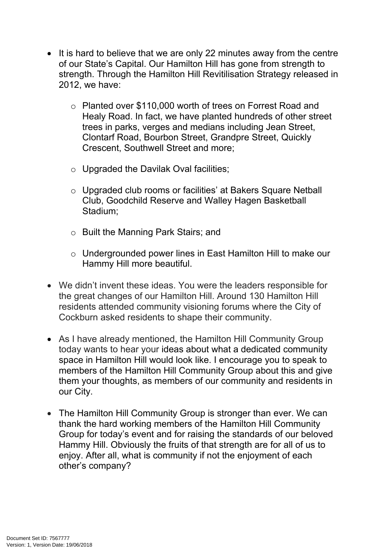- It is hard to believe that we are only 22 minutes away from the centre of our State's Capital. Our Hamilton Hill has gone from strength to strength. Through the Hamilton Hill Revitilisation Strategy released in 2012, we have:
	- o Planted over \$110,000 worth of trees on Forrest Road and Healy Road. In fact, we have planted hundreds of other street trees in parks, verges and medians including Jean Street, Clontarf Road, Bourbon Street, Grandpre Street, Quickly Crescent, Southwell Street and more;
	- $\circ$  Upgraded the Davilak Oval facilities;
	- o Upgraded club rooms or facilities' at Bakers Square Netball Club, Goodchild Reserve and Walley Hagen Basketball Stadium;
	- o Built the Manning Park Stairs; and
	- o Undergrounded power lines in East Hamilton Hill to make our Hammy Hill more beautiful.
- We didn't invent these ideas. You were the leaders responsible for the great changes of our Hamilton Hill. Around 130 Hamilton Hill residents attended community visioning forums where the City of Cockburn asked residents to shape their community.
- As I have already mentioned, the Hamilton Hill Community Group today wants to hear your ideas about what a dedicated community space in Hamilton Hill would look like. I encourage you to speak to members of the Hamilton Hill Community Group about this and give them your thoughts, as members of our community and residents in our City.
- The Hamilton Hill Community Group is stronger than ever. We can thank the hard working members of the Hamilton Hill Community Group for today's event and for raising the standards of our beloved Hammy Hill. Obviously the fruits of that strength are for all of us to enjoy. After all, what is community if not the enjoyment of each other's company?